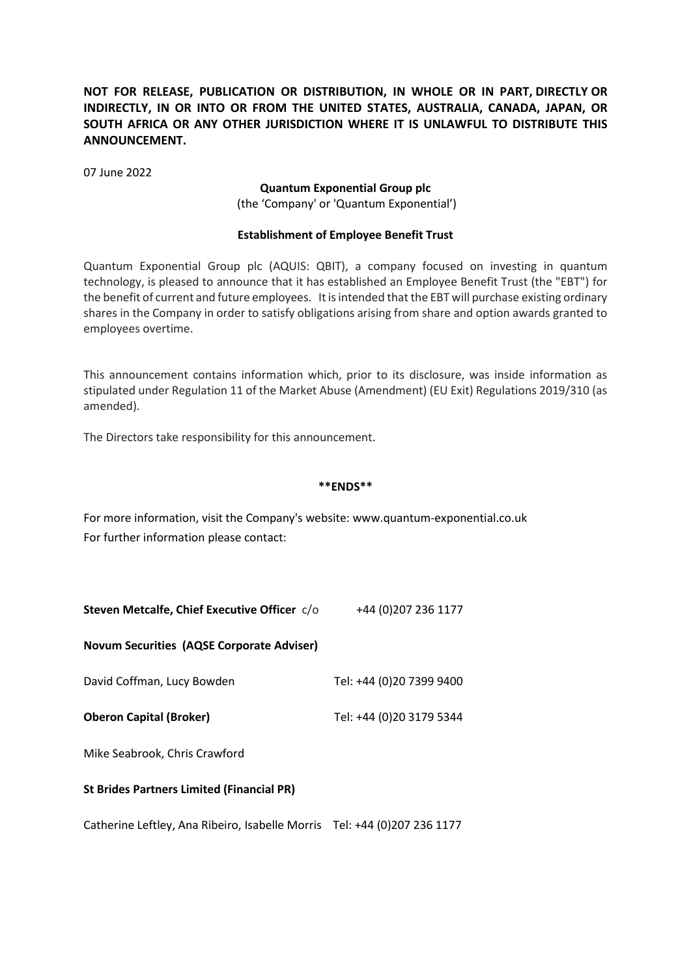# **NOT FOR RELEASE, PUBLICATION OR DISTRIBUTION, IN WHOLE OR IN PART, DIRECTLY OR INDIRECTLY, IN OR INTO OR FROM THE UNITED STATES, AUSTRALIA, CANADA, JAPAN, OR SOUTH AFRICA OR ANY OTHER JURISDICTION WHERE IT IS UNLAWFUL TO DISTRIBUTE THIS ANNOUNCEMENT.**

07 June 2022

#### **Quantum Exponential Group plc**

(the 'Company' or 'Quantum Exponential')

### **Establishment of Employee Benefit Trust**

Quantum Exponential Group plc (AQUIS: QBIT), a company focused on investing in quantum technology, is pleased to announce that it has established an Employee Benefit Trust (the "EBT") for the benefit of current and future employees. It is intended that the EBT will purchase existing ordinary shares in the Company in order to satisfy obligations arising from share and option awards granted to employees overtime.

This announcement contains information which, prior to its disclosure, was inside information as stipulated under Regulation 11 of the Market Abuse (Amendment) (EU Exit) Regulations 2019/310 (as amended).

The Directors take responsibility for this announcement.

#### **\*\*ENDS\*\***

For more information, visit the Company's website: www.quantum-exponential.co.uk For further information please contact:

| <b>Novum Securities (AQSE Corporate Adviser)</b> |                          |
|--------------------------------------------------|--------------------------|
| David Coffman, Lucy Bowden                       | Tel: +44 (0)20 7399 9400 |
| <b>Oberon Capital (Broker)</b>                   | Tel: +44 (0)20 3179 5344 |
|                                                  |                          |

**Steven Metcalfe, Chief Executive Officer**  $c/a$  +44 (0)207 236 1177

Mike Seabrook, Chris Crawford

## **St Brides Partners Limited (Financial PR)**

Catherine Leftley, Ana Ribeiro, Isabelle Morris Tel: +44 (0)207 236 1177